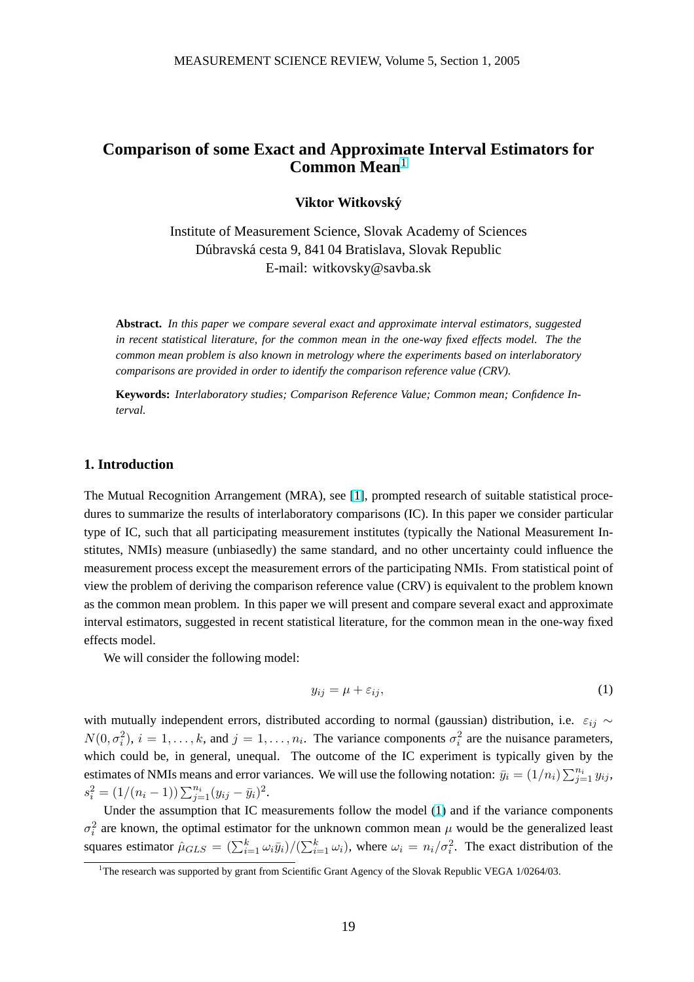# <span id="page-0-0"></span>**Comparison of some Exact and Approximate Interval Estimators for Common Mean**<sup>1</sup>

**Viktor Witkovsky´**

Institute of Measurement Science, Slovak Academy of Sciences Dúbravská cesta 9, 841 04 Bratislava, Slovak Republic E-mail: witkovsky@savba.sk

**Abstract.** *In this paper we compare several exact and approximate interval estimators, suggested in recent statistical literature, for the common mean in the one-way fixed effects model. The the common mean problem is also known in metrology where the experiments based on interlaboratory comparisons are provided in order to identify the comparison reference value (CRV).*

**Keywords:** *Interlaboratory studies; Comparison Reference Value; Common mean; Confidence Interval.*

# **1. Introduction**

The Mutual Recognition Arrangement (MRA), see [1], prompted research of suitable statistical procedures to summarize the results of interlaboratory comparisons (IC). In this paper we consider particular type of IC, such that all participating measurement institutes (typically the National Measurement Institutes, NMIs) measure (unbiasedly) the same stan[da](#page-3-0)rd, and no other uncertainty could influence the measurement process except the measurement errors of the participating NMIs. From statistical point of view the problem of deriving the comparison reference value (CRV) is equivalent to the problem known as the common mean problem. In this paper we will present and compare several exact and approximate interval estimators, suggested in recent statistical literature, for the common mean in the one-way fixed effects model.

We will consider the following model:

$$
y_{ij} = \mu + \varepsilon_{ij},\tag{1}
$$

with mutually independent errors, distributed according to normal (gaussian) distribution, i.e.  $\varepsilon_{ij} \sim$  $N(0, \sigma_i^2)$ ,  $i = 1, \ldots, k$ , and  $j = 1, \ldots, n_i$ . The variance components  $\sigma_i^2$  are the nuisance parameters, which could be, in general, unequal. The outcome of the IC experiment is typically given by the estimates of NMIs means and error variances. We will use the following notation:  $\overline{y}_i = (1/n_i) \sum_{j=1}^{n_i} y_{ij}$ ,  $s_i^2 = (1/(n_i-1)) \sum_{j=1}^{n_i} (y_{ij} - \bar{y}_i)^2.$ 

Under the assumption that IC measurements follow the model (1) and if the variance components  $\sigma_i^2$  are known, the optimal estimator for the unknown common mean  $\mu$  would be the generalized least squares estimator  $\hat{\mu}_{GLS} = (\sum_{i=1}^{k} \omega_i \bar{y}_i)/(\sum_{i=1}^{k} \omega_i)$ , where  $\omega_i = n_i/\sigma_i^2$ . The exact distribution of the

<sup>&</sup>lt;sup>1</sup>The research was supported by grant from Scientific Grant Agency of the Slovak Republic VEGA 1/0264/03.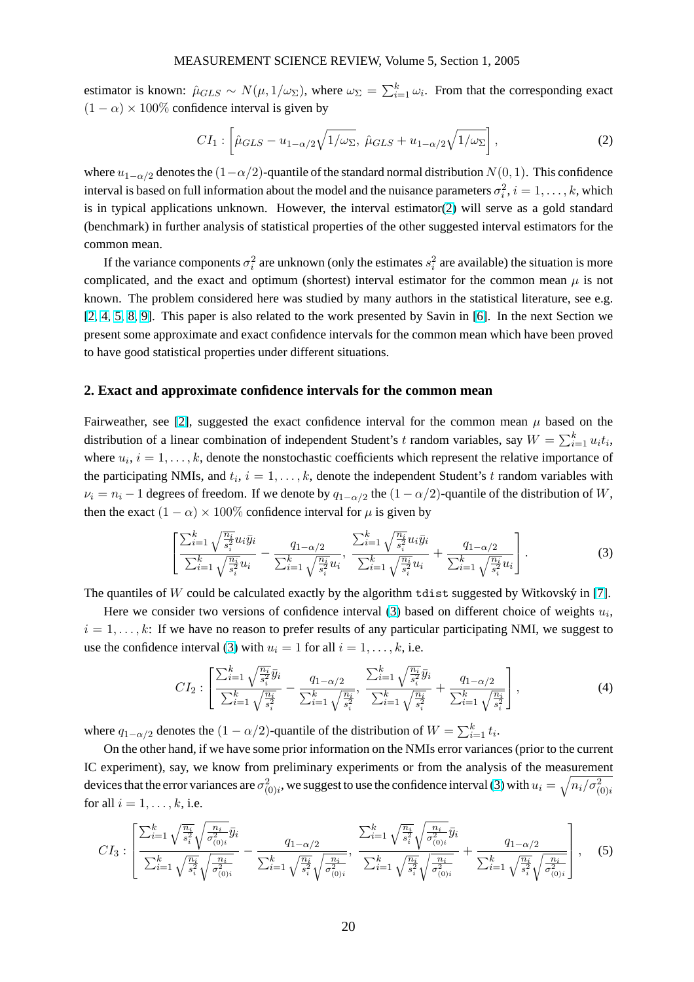### MEASUREMENT SCIENCE REVIEW, Volume 5, Section 1, 2005

estimator is known:  $\hat{\mu}_{GLS} \sim N(\mu, 1/\omega_{\Sigma})$ , where  $\omega_{\Sigma} = \sum_{i=1}^{k} \omega_i$ . From that the corresponding exact  $(1 - \alpha) \times 100\%$  confidence interval is given by

$$
CI_1: \left[ \hat{\mu}_{GLS} - u_{1-\alpha/2} \sqrt{1/\omega_{\Sigma}}, \ \hat{\mu}_{GLS} + u_{1-\alpha/2} \sqrt{1/\omega_{\Sigma}} \right], \tag{2}
$$

where  $u_{1-\alpha/2}$  denotes the  $(1-\alpha/2)$ -quantile of the standard normal distribution  $N(0, 1)$ . This confidence interval is based on full information about the model and the nuisance parameters  $\sigma_i^2$ ,  $i = 1, \ldots, k$ , which is in typical applications unknown. However, the interval estimator(2) will serve as a gold standard (benchmark) in further analysis of statistical properties of the other suggested interval estimators for the common mean.

If the variance components  $\sigma_i^2$  are unknown (only the estimates  $s_i^2$  are available) the situation is more complicated, and the exact and optimum (shortest) interval estimator for the common mean  $\mu$  is not known. The problem considered here was studied by many authors in the statistical literature, see e.g. [2, 4, 5, 8, 9]. This paper is also related to the work presented by Savin in [6]. In the next Section we present some approximate and exact confidence intervals for the common mean which have been proved to have good statistical properties under different situations.

### **2. Exact and approximate confidence intervals for the common mean**

Fairweather, see [2], suggested the exact confidence interval for the common mean  $\mu$  based on the distribution of a linear combination of independent Student's t random variables, say  $W = \sum_{i=1}^{k} u_i t_i$ , where  $u_i$ ,  $i = 1, \ldots, k$ , denote the nonstochastic coefficients which represent the relative importance of the participating [NM](#page-3-0)Is, and  $t_i$ ,  $i = 1, \ldots, k$ , denote the independent Student's t random variables with  $\nu_i = n_i - 1$  degrees of freedom. If we denote by  $q_{1-\alpha/2}$  the  $(1 - \alpha/2)$ -quantile of the distribution of W, then the exact  $(1 - \alpha) \times 100\%$  confidence interval for  $\mu$  is given by

$$
\left[\frac{\sum_{i=1}^{k} \sqrt{\frac{n_i}{s_i^2}} u_i \bar{y}_i}{\sum_{i=1}^{k} \sqrt{\frac{n_i}{s_i^2}} u_i} - \frac{q_{1-\alpha/2}}{\sum_{i=1}^{k} \sqrt{\frac{n_i}{s_i^2}} u_i}, \frac{\sum_{i=1}^{k} \sqrt{\frac{n_i}{s_i^2}} u_i \bar{y}_i}{\sum_{i=1}^{k} \sqrt{\frac{n_i}{s_i^2}} u_i} + \frac{q_{1-\alpha/2}}{\sum_{i=1}^{k} \sqrt{\frac{n_i}{s_i^2}} u_i}\right].
$$
\n(3)

The quantiles of W could be calculated exactly by the algorithm tdist suggested by Witkovský in [7].

Here we consider two versions of confidence interval (3) based on different choice of weights  $u_i$ ,  $i = 1, \ldots, k$ : If we have no reason to prefer results of any particular participating NMI, we suggest to use the confidence interval (3) with  $u_i = 1$  for all  $i = 1, \ldots, k$ , i.e.

$$
CI_2: \left[ \frac{\sum_{i=1}^k \sqrt{\frac{n_i}{s_i^2}} \bar{y}_i}{\sum_{i=1}^k \sqrt{\frac{n_i}{s_i^2}}} - \frac{q_{1-\alpha/2}}{\sum_{i=1}^k \sqrt{\frac{n_i}{s_i^2}}}, \frac{\sum_{i=1}^k \sqrt{\frac{n_i}{s_i^2}} \bar{y}_i}{\sum_{i=1}^k \sqrt{\frac{n_i}{s_i^2}}} + \frac{q_{1-\alpha/2}}{\sum_{i=1}^k \sqrt{\frac{n_i}{s_i^2}}} \right],
$$
\n
$$
(4)
$$

where  $q_{1-\alpha/2}$  denotes the  $(1-\alpha/2)$ -quantile of the distribution of  $W = \sum_{i=1}^{k} t_i$ .

On the other hand, if we have some prior information on the NMIs error variances (prior to the current IC experiment), say, we know from preliminary experiments or from the analysis of the measurement devices that the error variances are  $\sigma^2_{(0)i}$ , we suggest to use the confidence interval (3) with  $u_i=\sqrt{n_i/\sigma^2_{(0)i}}$ for all  $i = 1, \ldots, k$ , i.e.

$$
CI_{3}: \left[\frac{\sum_{i=1}^{k} \sqrt{\frac{n_{i}}{s_{i}^{2}}} \sqrt{\frac{n_{i}}{\sigma_{(0)i}^{2}}} \bar{y}_{i}}{\sum_{i=1}^{k} \sqrt{\frac{n_{i}}{s_{i}^{2}}} \sqrt{\frac{n_{i}}{\sigma_{(0)i}^{2}}} - \frac{q_{1-\alpha/2}}{\sum_{i=1}^{k} \sqrt{\frac{n_{i}}{s_{i}^{2}}} \sqrt{\frac{n_{i}}{\sigma_{(0)i}^{2}}} }{\sum_{i=1}^{k} \sqrt{\frac{n_{i}}{s_{i}^{2}}} \sqrt{\frac{n_{i}}{\sigma_{(0)i}^{2}}} + \frac{q_{1-\alpha/2}}{\sum_{i=1}^{k} \sqrt{\frac{n_{i}}{s_{i}^{2}}} \sqrt{\frac{n_{i}}{\sigma_{(0)i}^{2}}} } }\right], \quad (5)
$$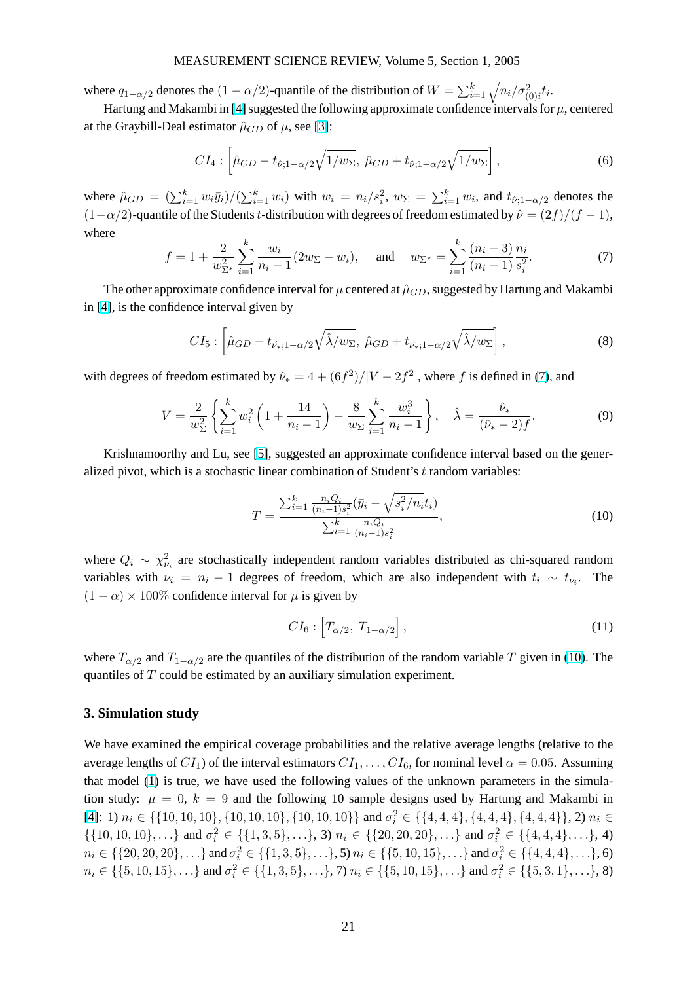### MEASUREMENT SCIENCE REVIEW, Volume 5, Section 1, 2005

<span id="page-2-0"></span>where  $q_{1-\alpha/2}$  denotes the  $(1-\alpha/2)$ -quantile of the distribution of  $W = \sum_{i=1}^{k} \sqrt{n_i/\sigma_{(0)i}^2} t_i$ .

Hartung and Makambi in [4] suggested the following approximate confidence intervals for  $\mu$ , centered at the Graybill-Deal estimator  $\hat{\mu}_{GD}$  of  $\mu$ , see [3]:

$$
CI_4: \left[ \hat{\mu}_{GD} - t_{\hat{\nu};1-\alpha/2} \sqrt{1/w_{\Sigma}}, \ \hat{\mu}_{GD} + t_{\hat{\nu};1-\alpha/2} \sqrt{1/w_{\Sigma}} \right], \tag{6}
$$

where  $\hat{\mu}_{GD} = (\sum_{i=1}^k w_i \bar{y}_i)/(\sum_{i=1}^k w_i)$  with  $w_i = n_i/s_i^2$ ,  $w_{\Sigma} = \sum_{i=1}^k w_i$ , and  $t_{\hat{\nu};1-\alpha/2}$  denotes the  $(1-\alpha/2)$ -quantile of the Students t-distribution with degrees of freedom estimated by  $\hat{\nu} = (2f)/(f-1)$ , where

$$
f = 1 + \frac{2}{w_{\Sigma^*}^2} \sum_{i=1}^k \frac{w_i}{n_i - 1} (2w_{\Sigma} - w_i), \quad \text{and} \quad w_{\Sigma^*} = \sum_{i=1}^k \frac{(n_i - 3)}{(n_i - 1)} \frac{n_i}{s_i^2}.
$$
 (7)

The other approximate confidence interval for  $\mu$  centered at  $\hat{\mu}_{GD}$ , suggested by Hartung and Makambi in [4], is the confidence interval given by

$$
CI_5: \left[ \hat{\mu}_{GD} - t_{\hat{\nu}_*; 1 - \alpha/2} \sqrt{\hat{\lambda}/w_{\Sigma}}, \ \hat{\mu}_{GD} + t_{\hat{\nu}_*; 1 - \alpha/2} \sqrt{\hat{\lambda}/w_{\Sigma}} \right], \tag{8}
$$

wit[h](#page-3-0) degrees of freedom estimated by  $\hat{\nu}_* = 4 + (6f^2)/|V - 2f^2|$ , where f is defined in (7), and

$$
V = \frac{2}{w_{\Sigma}^{2}} \left\{ \sum_{i=1}^{k} w_{i}^{2} \left( 1 + \frac{14}{n_{i} - 1} \right) - \frac{8}{w_{\Sigma}} \sum_{i=1}^{k} \frac{w_{i}^{3}}{n_{i} - 1} \right\}, \quad \hat{\lambda} = \frac{\hat{\nu}_{*}}{(\hat{\nu}_{*} - 2)f}.
$$
 (9)

Krishnamoorthy and Lu, see [5], suggested an approximate confidence interval based on the generalized pivot, which is a stochastic linear combination of Student's  $t$  random variables:

$$
T = \frac{\sum_{i=1}^{k} \frac{n_i Q_i}{(n_i - 1)s_i^2} (\bar{y}_i - \sqrt{s_i^2/n_i} t_i)}{\sum_{i=1}^{k} \frac{n_i Q_i}{(n_i - 1)s_i^2}},
$$
\n(10)

where  $Q_i \sim \chi^2_{\nu_i}$  are stochastically independent random variables distributed as chi-squared random variables with  $\nu_i = n_i - 1$  degrees of freedom, which are also independent with  $t_i \sim t_{\nu_i}$ . The  $(1 - \alpha) \times 100\%$  confidence interval for  $\mu$  is given by

$$
CI_6: [T_{\alpha/2}, T_{1-\alpha/2}], \qquad (11)
$$

where  $T_{\alpha/2}$  and  $T_{1-\alpha/2}$  are the quantiles of the distribution of the random variable T given in (10). The quantiles of T could be estimated by an auxiliary simulation experiment.

## **3. Simulation study**

We have examined the empirical coverage probabilities and the relative average lengths (relative to the average lengths of  $CI_1$ ) of the interval estimators  $CI_1, \ldots, CI_6$ , for nominal level  $\alpha = 0.05$ . Assuming that model (1) is true, we have used the following values of the unknown parameters in the simulation study:  $\mu = 0$ ,  $k = 9$  and the following 10 sample designs used by Hartung and Makambi in  $[4]$ : 1)  $n_i \in \{\{10, 10, 10\}, \{10, 10, 10\}, \{10, 10, 10\}\}\$  and  $\sigma_i^2 \in \{\{4, 4, 4\}, \{4, 4, 4\}, \{4, 4, 4\}\}\$ , 2)  $n_i \in \{10, 10, 10\}$  $\{\{10, 10, 10\}, \ldots\}$  $\{\{10, 10, 10\}, \ldots\}$  $\{\{10, 10, 10\}, \ldots\}$  and  $\sigma_i^2 \in \{\{1, 3, 5\}, \ldots\}$ , 3)  $n_i \in \{\{20, 20, 20\}, \ldots\}$  and  $\sigma_i^2 \in \{\{4, 4, 4\}, \ldots\}$ , 4)  $n_i \in \{\{20, 20, 20\}, \ldots\}$  and  $\sigma_i^2 \in \{\{1, 3, 5\}, \ldots\}$ , 5)  $n_i \in \{\{5, 10, 15\}, \ldots\}$  and  $\sigma_i^2 \in \{\{4, 4, 4\}, \ldots\}$ , 6)  $n_i \in \{\{5, 10, 15\}, \ldots\}$  $n_i \in \{\{5, 10, 15\}, \ldots\}$  and  $\sigma_i^2 \in \{\{1, 3, 5\}, \ldots\}$ , 7)  $n_i \in \{\{5, 10, 15\}, \ldots\}$  and  $\sigma_i^2 \in \{\{5, 3, 1\}, \ldots\}$ , 8)